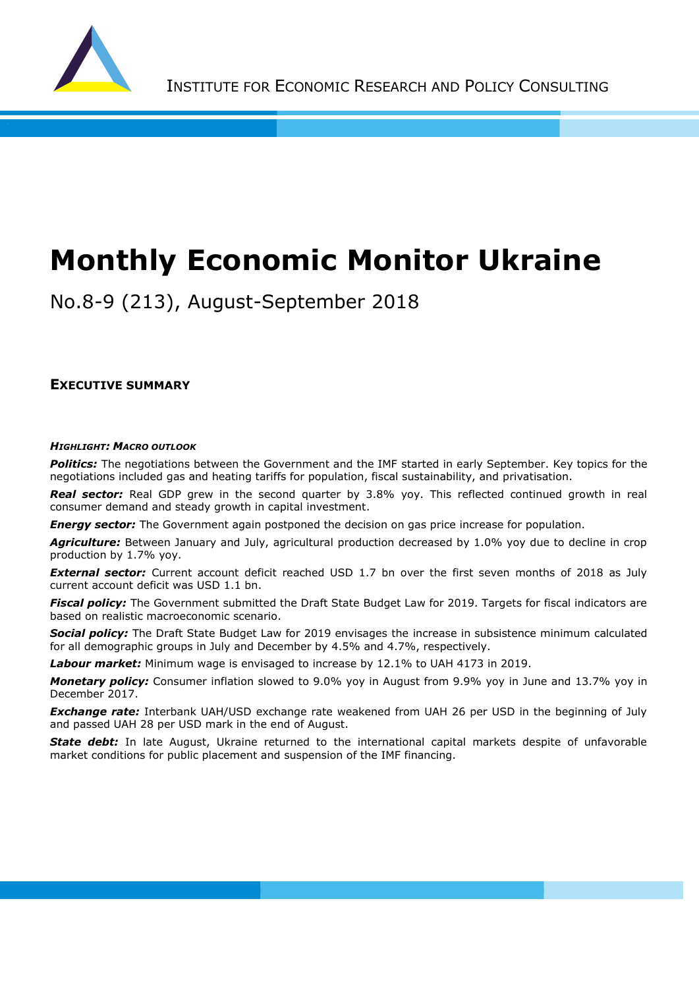

# **Monthly Economic Monitor Ukraine**

No.8-9 (213), August-September 2018

**EXECUTIVE SUMMARY**

#### *HIGHLIGHT: MACRO OUTLOOK*

*Politics:* The negotiations between the Government and the IMF started in early September. Key topics for the negotiations included gas and heating tariffs for population, fiscal sustainability, and privatisation.

**Real sector:** Real GDP grew in the second quarter by 3.8% yoy. This reflected continued growth in real consumer demand and steady growth in capital investment.

**Energy sector:** The Government again postponed the decision on gas price increase for population.

Agriculture: Between January and July, agricultural production decreased by 1.0% yoy due to decline in crop production by 1.7% yoy.

**External sector:** Current account deficit reached USD 1.7 bn over the first seven months of 2018 as July current account deficit was USD 1.1 bn.

*Fiscal policy:* The Government submitted the Draft State Budget Law for 2019. Targets for fiscal indicators are based on realistic macroeconomic scenario.

*Social policy:* The Draft State Budget Law for 2019 envisages the increase in subsistence minimum calculated for all demographic groups in July and December by 4.5% and 4.7%, respectively.

*Labour market:* Minimum wage is envisaged to increase by 12.1% to UAH 4173 in 2019.

*Monetary policy:* Consumer inflation slowed to 9.0% yoy in August from 9.9% yoy in June and 13.7% yoy in December 2017.

*Exchange rate:* Interbank UAH/USD exchange rate weakened from UAH 26 per USD in the beginning of July and passed UAH 28 per USD mark in the end of August.

**State debt:** In late August, Ukraine returned to the international capital markets despite of unfavorable market conditions for public placement and suspension of the IMF financing.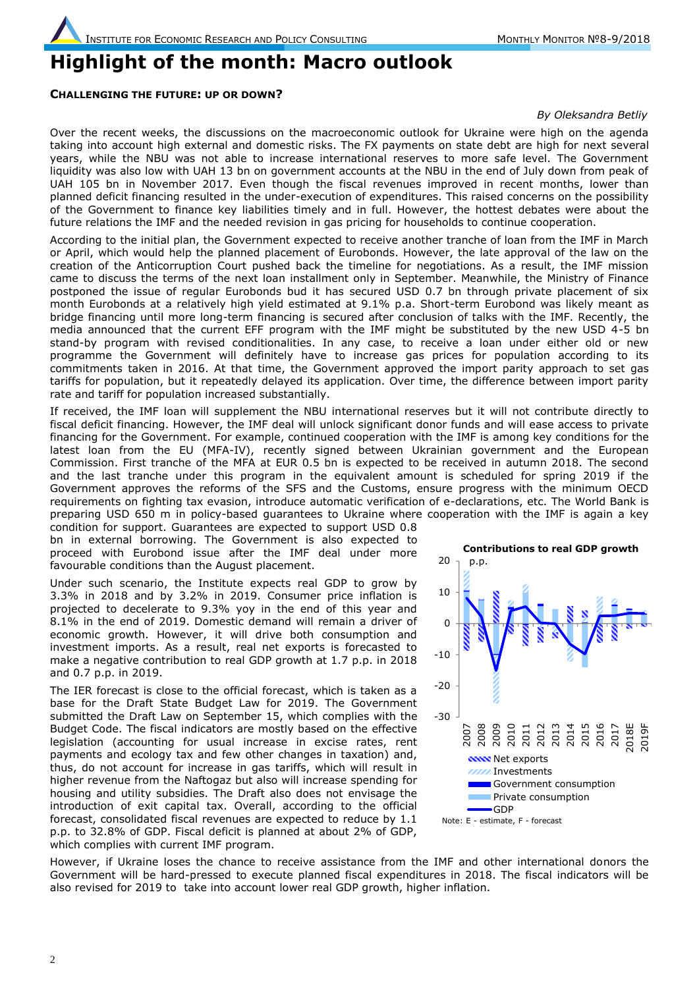### **Highlight of the month: Macro outlook**

#### **CHALLENGING THE FUTURE: UP OR DOWN?**

#### *By Oleksandra Betliy*

Over the recent weeks, the discussions on the macroeconomic outlook for Ukraine were high on the agenda taking into account high external and domestic risks. The FX payments on state debt are high for next several years, while the NBU was not able to increase international reserves to more safe level. The Government liquidity was also low with UAH 13 bn on government accounts at the NBU in the end of July down from peak of UAH 105 bn in November 2017. Even though the fiscal revenues improved in recent months, lower than planned deficit financing resulted in the under-execution of expenditures. This raised concerns on the possibility of the Government to finance key liabilities timely and in full. However, the hottest debates were about the future relations the IMF and the needed revision in gas pricing for households to continue cooperation.

According to the initial plan, the Government expected to receive another tranche of loan from the IMF in March or April, which would help the planned placement of Eurobonds. However, the late approval of the law on the creation of the Anticorruption Court pushed back the timeline for negotiations. As a result, the IMF mission came to discuss the terms of the next loan installment only in September. Meanwhile, the Ministry of Finance postponed the issue of regular Eurobonds bud it has secured USD 0.7 bn through private placement of six month Eurobonds at a relatively high yield estimated at 9.1% p.a. Short-term Eurobond was likely meant as bridge financing until more long-term financing is secured after conclusion of talks with the IMF. Recently, the media announced that the current EFF program with the IMF might be substituted by the new USD 4-5 bn stand-by program with revised conditionalities. In any case, to receive a loan under either old or new programme the Government will definitely have to increase gas prices for population according to its commitments taken in 2016. At that time, the Government approved the import parity approach to set gas tariffs for population, but it repeatedly delayed its application. Over time, the difference between import parity rate and tariff for population increased substantially.

If received, the IMF loan will supplement the NBU international reserves but it will not contribute directly to fiscal deficit financing. However, the IMF deal will unlock significant donor funds and will ease access to private financing for the Government. For example, continued cooperation with the IMF is among key conditions for the latest loan from the EU (MFA-IV), recently signed between Ukrainian government and the European Commission. First tranche of the MFA at EUR 0.5 bn is expected to be received in autumn 2018. The second and the last tranche under this program in the equivalent amount is scheduled for spring 2019 if the Government approves the reforms of the SFS and the Customs, ensure progress with the minimum OECD requirements on fighting tax evasion, introduce automatic verification of e-declarations, etc. The World Bank is preparing USD 650 m in policy-based guarantees to Ukraine where cooperation with the IMF is again a key

condition for support. Guarantees are expected to support USD 0.8 bn in external borrowing. The Government is also expected to proceed with Eurobond issue after the IMF deal under more favourable conditions than the August placement.

Under such scenario, the Institute expects real GDP to grow by 3.3% in 2018 and by 3.2% in 2019. Consumer price inflation is projected to decelerate to 9.3% yoy in the end of this year and 8.1% in the end of 2019. Domestic demand will remain a driver of economic growth. However, it will drive both consumption and investment imports. As a result, real net exports is forecasted to make a negative contribution to real GDP growth at 1.7 p.p. in 2018 and 0.7 p.p. in 2019.

The IER forecast is close to the official forecast, which is taken as a base for the Draft State Budget Law for 2019. The Government submitted the Draft Law on September 15, which complies with the Budget Code. The fiscal indicators are mostly based on the effective legislation (accounting for usual increase in excise rates, rent payments and ecology tax and few other changes in taxation) and, thus, do not account for increase in gas tariffs, which will result in higher revenue from the Naftogaz but also will increase spending for housing and utility subsidies. The Draft also does not envisage the introduction of exit capital tax. Overall, according to the official forecast, consolidated fiscal revenues are expected to reduce by 1.1 p.p. to 32.8% of GDP. Fiscal deficit is planned at about 2% of GDP, which complies with current IMF program.



However, if Ukraine loses the chance to receive assistance from the IMF and other international donors the Government will be hard-pressed to execute planned fiscal expenditures in 2018. The fiscal indicators will be also revised for 2019 to take into account lower real GDP growth, higher inflation.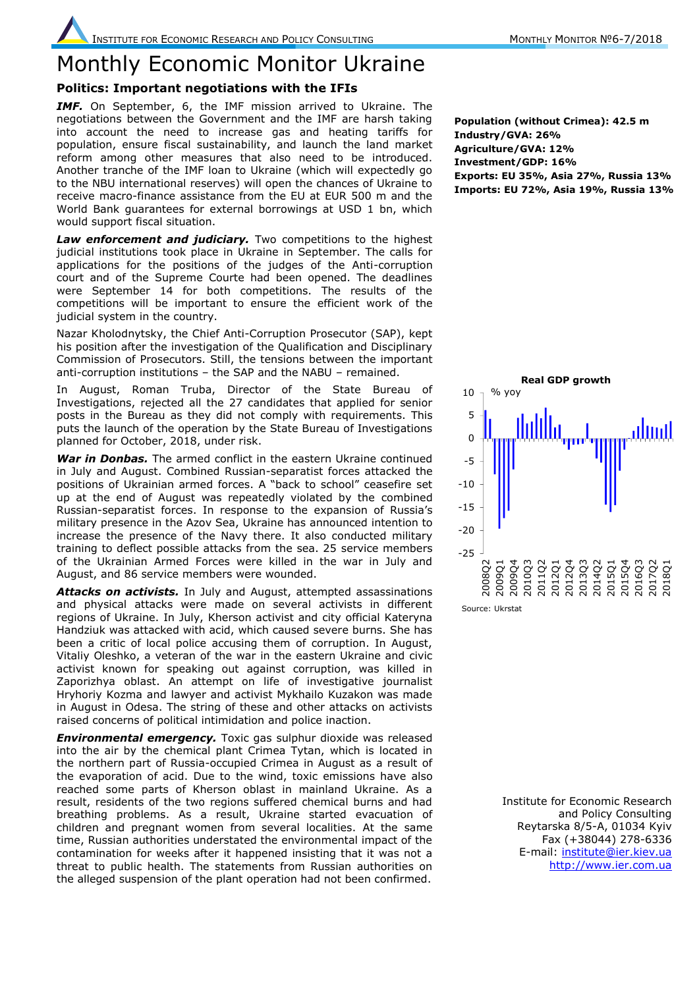## Monthly Economic Monitor Ukraine

#### **Politics: Important negotiations with the IFIs**

*IMF.* On September, 6, the IMF mission arrived to Ukraine. The negotiations between the Government and the IMF are harsh taking into account the need to increase gas and heating tariffs for population, ensure fiscal sustainability, and launch the land market reform among other measures that also need to be introduced. Another tranche of the IMF loan to Ukraine (which will expectedly go to the NBU international reserves) will open the chances of Ukraine to receive macro-finance assistance from the EU at EUR 500 m and the World Bank guarantees for external borrowings at USD 1 bn, which would support fiscal situation.

Law enforcement and judiciary. Two competitions to the highest judicial institutions took place in Ukraine in September. The calls for applications for the positions of the judges of the Anti-corruption court and of the Supreme Courte had been opened. The deadlines were September 14 for both competitions. The results of the competitions will be important to ensure the efficient work of the judicial system in the country.

Nazar Kholodnytsky, the Chief Anti-Corruption Prosecutor (SAP), kept his position after the investigation of the Qualification and Disciplinary Commission of Prosecutors. Still, the tensions between the important anti-corruption institutions – the SAP and the NABU – remained.

In August, Roman Truba, Director of the State Bureau of Investigations, rejected all the 27 candidates that applied for senior posts in the Bureau as they did not comply with requirements. This puts the launch of the operation by the State Bureau of Investigations planned for October, 2018, under risk.

*War in Donbas.* The armed conflict in the eastern Ukraine continued in July and August. Combined Russian-separatist forces attacked the positions of Ukrainian armed forces. A "back to school" ceasefire set up at the end of August was repeatedly violated by the combined Russian-separatist forces. In response to the expansion of Russia's military presence in the Azov Sea, Ukraine has announced intention to increase the presence of the Navy there. It also conducted military training to deflect possible attacks from the sea. 25 service members of the Ukrainian Armed Forces were killed in the war in July and August, and 86 service members were wounded.

*Attacks on activists.* In July and August, attempted assassinations and physical attacks were made on several activists in different regions of Ukraine. In July, Kherson activist and city official Kateryna Handziuk was attacked with acid, which caused severe burns. She has been a critic of local police accusing them of corruption. In August, Vitaliy Oleshko, a veteran of the war in the eastern Ukraine and civic activist known for speaking out against corruption, was killed in Zaporizhya oblast. An attempt on life of investigative journalist Hryhoriy Kozma and lawyer and activist Mykhailo Kuzakon was made in August in Odesa. The string of these and other attacks on activists raised concerns of political intimidation and police inaction.

**Environmental emergency.** Toxic gas sulphur dioxide was released into the air by the chemical plant Crimea Tytan, which is located in the northern part of Russia-occupied Crimea in August as a result of the evaporation of acid. Due to the wind, toxic emissions have also reached some parts of Kherson oblast in mainland Ukraine. As a result, residents of the two regions suffered chemical burns and had breathing problems. As a result, Ukraine started evacuation of children and pregnant women from several localities. At the same time, Russian authorities understated the environmental impact of the contamination for weeks after it happened insisting that it was not a threat to public health. The statements from Russian authorities on the alleged suspension of the plant operation had not been confirmed.

**Population (without Crimea): 42.5 m Industry/GVA: 26% Agriculture/GVA: 12% Investment/GDP: 16% Exports: EU 35%, Asia 27%, Russia 13% Imports: EU 72%, Asia 19%, Russia 13%**



Source: Ukrstat

Institute for Economic Research and Policy Consulting Reytarska 8/5-A, 01034 Kyiv Fax (+38044) 278-6336 E-mail: [institute@ier.kiev.ua](mailto:institute@ier.kiev.ua) [http://www.ier.com.ua](http://www.ier.com.ua/)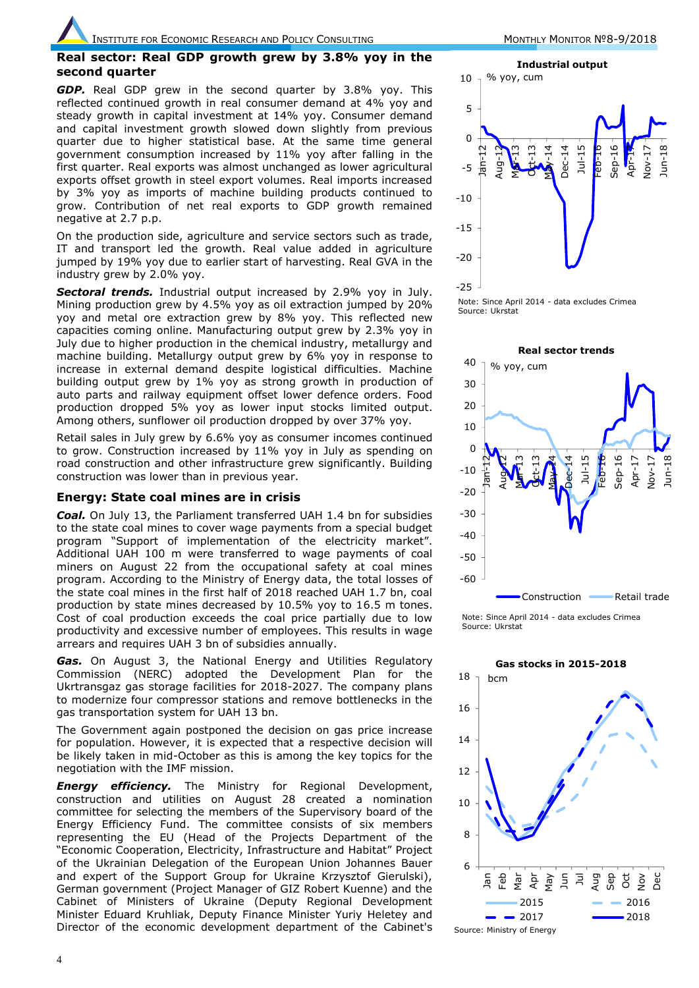#### **Real sector: Real GDP growth grew by 3.8% yoy in the second quarter**

*GDP.* Real GDP grew in the second quarter by 3.8% yoy. This reflected continued growth in real consumer demand at 4% yoy and steady growth in capital investment at 14% yoy. Consumer demand and capital investment growth slowed down slightly from previous quarter due to higher statistical base. At the same time general government consumption increased by 11% yoy after falling in the first quarter. Real exports was almost unchanged as lower agricultural exports offset growth in steel export volumes. Real imports increased by 3% yoy as imports of machine building products continued to grow. Contribution of net real exports to GDP growth remained negative at 2.7 p.p.

On the production side, agriculture and service sectors such as trade, IT and transport led the growth. Real value added in agriculture jumped by 19% yoy due to earlier start of harvesting. Real GVA in the industry grew by 2.0% yoy.

**Sectoral trends.** Industrial output increased by 2.9% yoy in July. Mining production grew by 4.5% yoy as oil extraction jumped by 20% yoy and metal ore extraction grew by 8% yoy. This reflected new capacities coming online. Manufacturing output grew by 2.3% yoy in July due to higher production in the chemical industry, metallurgy and machine building. Metallurgy output grew by 6% yoy in response to increase in external demand despite logistical difficulties. Machine building output grew by 1% yoy as strong growth in production of auto parts and railway equipment offset lower defence orders. Food production dropped 5% yoy as lower input stocks limited output. Among others, sunflower oil production dropped by over 37% yoy.

Retail sales in July grew by 6.6% yoy as consumer incomes continued to grow. Construction increased by 11% yoy in July as spending on road construction and other infrastructure grew significantly. Building construction was lower than in previous year.

#### **Energy: State coal mines are in crisis**

*Coal.* On July 13, the Parliament transferred UAH 1.4 bn for subsidies to the state coal mines to cover wage payments from a special budget program "Support of implementation of the electricity market". Additional UAH 100 m were transferred to wage payments of coal miners on August 22 from the occupational safety at coal mines program. According to the Ministry of Energy data, the total losses of the state coal mines in the first half of 2018 reached UAH 1.7 bn, coal production by state mines decreased by 10.5% yoy to 16.5 m tones. Cost of coal production exceeds the coal price partially due to low productivity and excessive number of employees. This results in wage arrears and requires UAH 3 bn of subsidies annually.

*Gas.* On August 3, the National Energy and Utilities Regulatory Commission (NERC) adopted the Development Plan for the Ukrtransgaz gas storage facilities for 2018-2027. The company plans to modernize four compressor stations and remove bottlenecks in the gas transportation system for UAH 13 bn.

The Government again postponed the decision on gas price increase for population. However, it is expected that a respective decision will be likely taken in mid-October as this is among the key topics for the negotiation with the IMF mission.

*Energy efficiency.* The Ministry for Regional Development, construction and utilities on August 28 created a nomination committee for selecting the members of the Supervisory board of the Energy Efficiency Fund. The committee consists of six members representing the EU (Head of the Projects Department of the "Economic Cooperation, Electricity, Infrastructure and Habitat" Project of the Ukrainian Delegation of the European Union Johannes Bauer and expert of the Support Group for Ukraine Krzysztof Gierulski), German government (Project Manager of GIZ Robert Kuenne) and the Cabinet of Ministers of Ukraine (Deputy Regional Development Minister Eduard Kruhliak, Deputy Finance Minister Yuriy Heletey and Director of the economic development department of the Cabinet's







Note: Since April 2014 - data excludes Crimea Source: Ukrstat

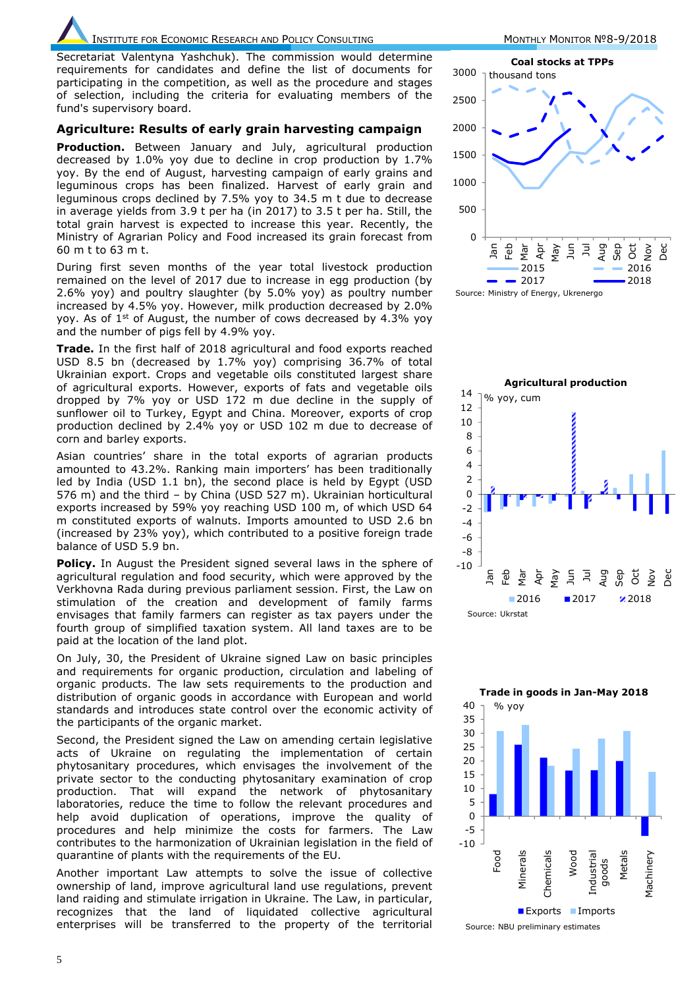## INSTITUTE FOR ECONOMIC RESEARCH AND POLICY CONSULTING MONTHLY MONTHLY MONITOR Nº8-9/2018

Secretariat Valentyna Yashchuk). The commission would determine requirements for candidates and define the list of documents for participating in the competition, as well as the procedure and stages of selection, including the criteria for evaluating members of the fund's supervisory board.

#### **Agriculture: Results of early grain harvesting campaign**

**Production.** Between January and July, agricultural production decreased by 1.0% yoy due to decline in crop production by 1.7% yoy. By the end of August, harvesting campaign of early grains and leguminous crops has been finalized. Harvest of early grain and leguminous crops declined by 7.5% yoy to 34.5 m t due to decrease in average yields from 3.9 t per ha (in 2017) to 3.5 t per ha. Still, the total grain harvest is expected to increase this year. Recently, the Ministry of Agrarian Policy and Food increased its grain forecast from 60 m t to 63 m t.

During first seven months of the year total livestock production remained on the level of 2017 due to increase in egg production (by 2.6% yoy) and poultry slaughter (by 5.0% yoy) as poultry number increased by 4.5% yoy. However, milk production decreased by 2.0% yoy. As of  $1<sup>st</sup>$  of August, the number of cows decreased by 4.3% yoy and the number of pigs fell by 4.9% yoy.

**Trade.** In the first half of 2018 agricultural and food exports reached USD 8.5 bn (decreased by 1.7% yoy) comprising 36.7% of total Ukrainian export. Crops and vegetable oils constituted largest share of agricultural exports. However, exports of fats and vegetable oils dropped by 7% yoy or USD 172 m due decline in the supply of sunflower oil to Turkey, Egypt and China. Moreover, exports of crop production declined by 2.4% yoy or USD 102 m due to decrease of corn and barley exports.

Asian countries' share in the total exports of agrarian products amounted to 43.2%. Ranking main importers' has been traditionally led by India (USD 1.1 bn), the second place is held by Egypt (USD 576 m) and the third – by China (USD 527 m). Ukrainian horticultural exports increased by 59% yoy reaching USD 100 m, of which USD 64 m constituted exports of walnuts. Imports amounted to USD 2.6 bn (increased by 23% yoy), which contributed to a positive foreign trade balance of USD 5.9 bn.

**Policy.** In August the President signed several laws in the sphere of agricultural regulation and food security, which were approved by the Verkhovna Rada during previous parliament session. First, the Law on stimulation of the creation and development of family farms envisages that family farmers can register as tax payers under the fourth group of simplified taxation system. All land taxes are to be paid at the location of the land plot.

On July, 30, the President of Ukraine signed Law on basic principles and requirements for organic production, circulation and labeling of organic products. The law sets requirements to the production and distribution of organic goods in accordance with European and world standards and introduces state control over the economic activity of the participants of the organic market.

Second, the President signed the Law on amending certain legislative acts of Ukraine on regulating the implementation of certain phytosanitary procedures, which envisages the involvement of the private sector to the conducting phytosanitary examination of crop production. That will expand the network of phytosanitary laboratories, reduce the time to follow the relevant procedures and help avoid duplication of operations, improve the quality of procedures and help minimize the costs for farmers. The Law contributes to the harmonization of Ukrainian legislation in the field of quarantine of plants with the requirements of the EU.

Another important Law attempts to solve the issue of collective ownership of land, improve agricultural land use regulations, prevent land raiding and stimulate irrigation in Ukraine. The Law, in particular, recognizes that the land of liquidated collective agricultural enterprises will be transferred to the property of the territorial



Source: Ministry of Energy, Ukrenergo



**Trade in goods in Jan-May 2018**

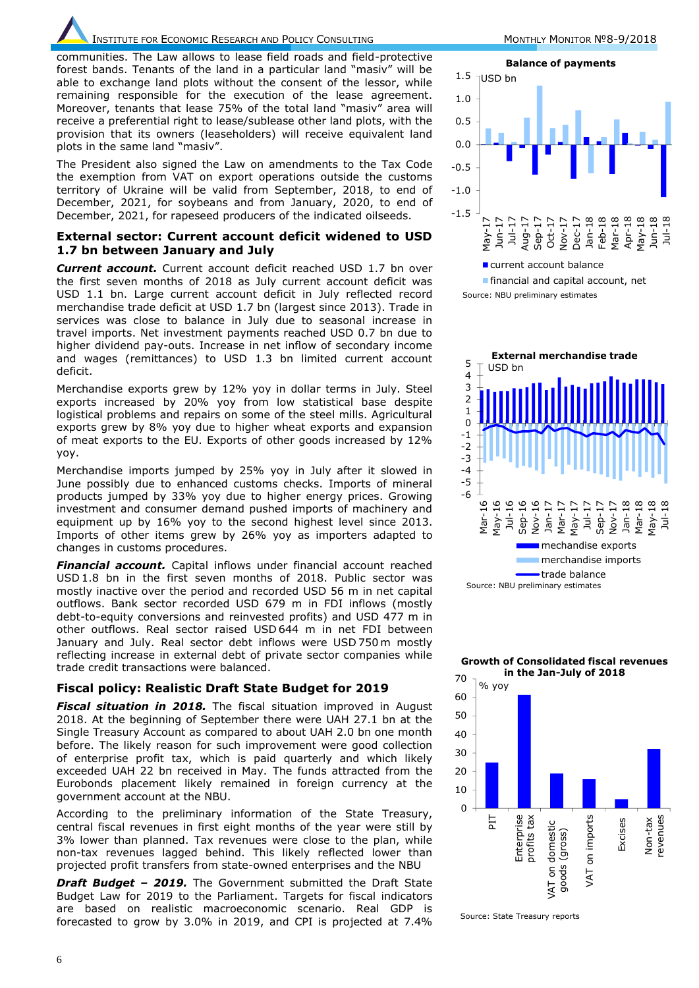#### INSTITUTE FOR ECONOMIC RESEARCH AND POLICY CONSULTING MONTHLY MONTHLY MONITOR Nº8-9/2018

communities. The Law allows to lease field roads and field-protective forest bands. Tenants of the land in a particular land "masiv" will be able to exchange land plots without the consent of the lessor, while remaining responsible for the execution of the lease agreement. Moreover, tenants that lease 75% of the total land "masiv" area will receive a preferential right to lease/sublease other land plots, with the provision that its owners (leaseholders) will receive equivalent land plots in the same land "masiv".

The President also signed the Law on amendments to the Tax Code the exemption from VAT on export operations outside the customs territory of Ukraine will be valid from September, 2018, to end of December, 2021, for soybeans and from January, 2020, to end of December, 2021, for rapeseed producers of the indicated oilseeds.

#### **External sector: Current account deficit widened to USD 1.7 bn between January and July**

*Current account.* Current account deficit reached USD 1.7 bn over the first seven months of 2018 as July current account deficit was USD 1.1 bn. Large current account deficit in July reflected record merchandise trade deficit at USD 1.7 bn (largest since 2013). Trade in services was close to balance in July due to seasonal increase in travel imports. Net investment payments reached USD 0.7 bn due to higher dividend pay-outs. Increase in net inflow of secondary income and wages (remittances) to USD 1.3 bn limited current account deficit.

Merchandise exports grew by 12% yoy in dollar terms in July. Steel exports increased by 20% yoy from low statistical base despite logistical problems and repairs on some of the steel mills. Agricultural exports grew by 8% yoy due to higher wheat exports and expansion of meat exports to the EU. Exports of other goods increased by 12% yoy.

Merchandise imports jumped by 25% yoy in July after it slowed in June possibly due to enhanced customs checks. Imports of mineral products jumped by 33% yoy due to higher energy prices. Growing investment and consumer demand pushed imports of machinery and equipment up by 16% yoy to the second highest level since 2013. Imports of other items grew by 26% yoy as importers adapted to changes in customs procedures.

**Financial account.** Capital inflows under financial account reached USD 1.8 bn in the first seven months of 2018. Public sector was mostly inactive over the period and recorded USD 56 m in net capital outflows. Bank sector recorded USD 679 m in FDI inflows (mostly debt-to-equity conversions and reinvested profits) and USD 477 m in other outflows. Real sector raised USD 644 m in net FDI between January and July. Real sector debt inflows were USD 750 m mostly reflecting increase in external debt of private sector companies while trade credit transactions were balanced.

#### **Fiscal policy: Realistic Draft State Budget for 2019**

**Fiscal situation in 2018.** The fiscal situation improved in August 2018. At the beginning of September there were UAH 27.1 bn at the Single Treasury Account as compared to about UAH 2.0 bn one month before. The likely reason for such improvement were good collection of enterprise profit tax, which is paid quarterly and which likely exceeded UAH 22 bn received in May. The funds attracted from the Eurobonds placement likely remained in foreign currency at the government account at the NBU.

According to the preliminary information of the State Treasury, central fiscal revenues in first eight months of the year were still by 3% lower than planned. Tax revenues were close to the plan, while non-tax revenues lagged behind. This likely reflected lower than projected profit transfers from state-owned enterprises and the NBU

*Draft Budget – 2019.* The Government submitted the Draft State Budget Law for 2019 to the Parliament. Targets for fiscal indicators are based on realistic macroeconomic scenario. Real GDP is forecasted to grow by 3.0% in 2019, and CPI is projected at 7.4%



current account balance

**Financial and capital account, net** Source: NBU preliminary estimates



**Growth of Consolidated fiscal revenues in the Jan-July of 2018**



Source: State Treasury reports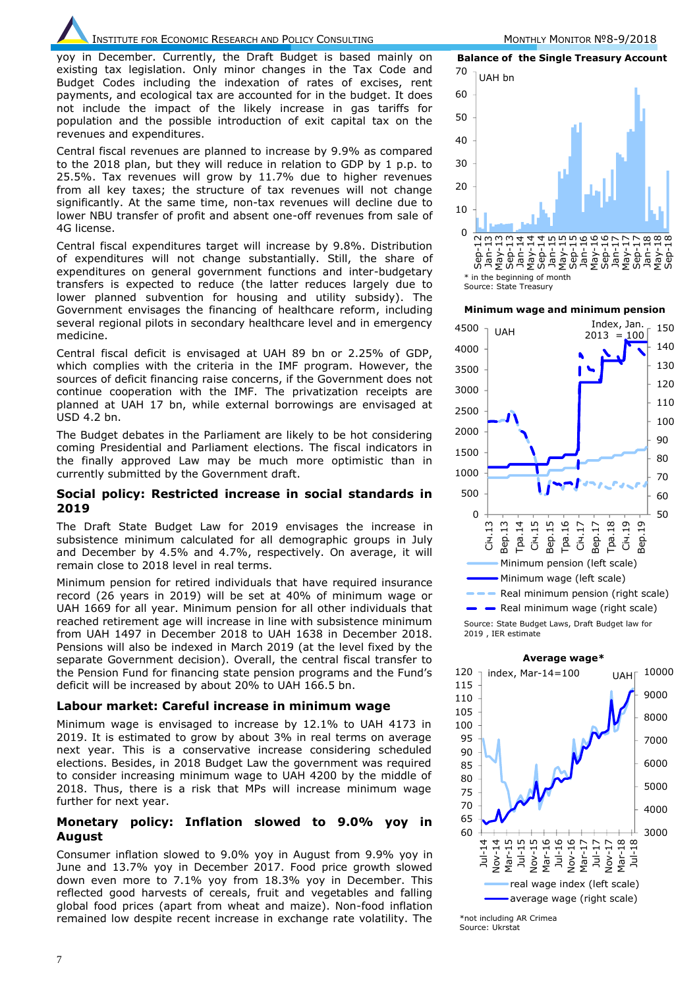yoy in December. Currently, the Draft Budget is based mainly on existing tax legislation. Only minor changes in the Tax Code and Budget Codes including the indexation of rates of excises, rent payments, and ecological tax are accounted for in the budget. It does not include the impact of the likely increase in gas tariffs for population and the possible introduction of exit capital tax on the revenues and expenditures.

Central fiscal revenues are planned to increase by 9.9% as compared to the 2018 plan, but they will reduce in relation to GDP by 1 p.p. to 25.5%. Tax revenues will grow by 11.7% due to higher revenues from all key taxes; the structure of tax revenues will not change significantly. At the same time, non-tax revenues will decline due to lower NBU transfer of profit and absent one-off revenues from sale of 4G license.

Central fiscal expenditures target will increase by 9.8%. Distribution of expenditures will not change substantially. Still, the share of expenditures on general government functions and inter-budgetary transfers is expected to reduce (the latter reduces largely due to lower planned subvention for housing and utility subsidy). The Government envisages the financing of healthcare reform, including several regional pilots in secondary healthcare level and in emergency medicine.

Central fiscal deficit is envisaged at UAH 89 bn or 2.25% of GDP, which complies with the criteria in the IMF program. However, the sources of deficit financing raise concerns, if the Government does not continue cooperation with the IMF. The privatization receipts are planned at UAH 17 bn, while external borrowings are envisaged at USD 4.2 bn.

The Budget debates in the Parliament are likely to be hot considering coming Presidential and Parliament elections. The fiscal indicators in the finally approved Law may be much more optimistic than in currently submitted by the Government draft.

#### **Social policy: Restricted increase in social standards in 2019**

The Draft State Budget Law for 2019 envisages the increase in subsistence minimum calculated for all demographic groups in July and December by 4.5% and 4.7%, respectively. On average, it will remain close to 2018 level in real terms.

Minimum pension for retired individuals that have required insurance record (26 years in 2019) will be set at 40% of minimum wage or UAH 1669 for all year. Minimum pension for all other individuals that reached retirement age will increase in line with subsistence minimum from UAH 1497 in December 2018 to UAH 1638 in December 2018. Pensions will also be indexed in March 2019 (at the level fixed by the separate Government decision). Overall, the central fiscal transfer to the Pension Fund for financing state pension programs and the Fund's deficit will be increased by about 20% to UAH 166.5 bn.

#### **Labour market: Careful increase in minimum wage**

Minimum wage is envisaged to increase by 12.1% to UAH 4173 in 2019. It is estimated to grow by about 3% in real terms on average next year. This is a conservative increase considering scheduled elections. Besides, in 2018 Budget Law the government was required to consider increasing minimum wage to UAH 4200 by the middle of 2018. Thus, there is a risk that MPs will increase minimum wage further for next year.

#### **Monetary policy: Inflation slowed to 9.0% yoy in August**

Consumer inflation slowed to 9.0% yoy in August from 9.9% yoy in June and 13.7% yoy in December 2017. Food price growth slowed down even more to 7.1% yoy from 18.3% yoy in December. This reflected good harvests of cereals, fruit and vegetables and falling global food prices (apart from wheat and maize). Non-food inflation remained low despite recent increase in exchange rate volatility. The



**Minimum wage and minimum pension**





Source: Ukrstat Source: Ukrstat\*not including AR Crimea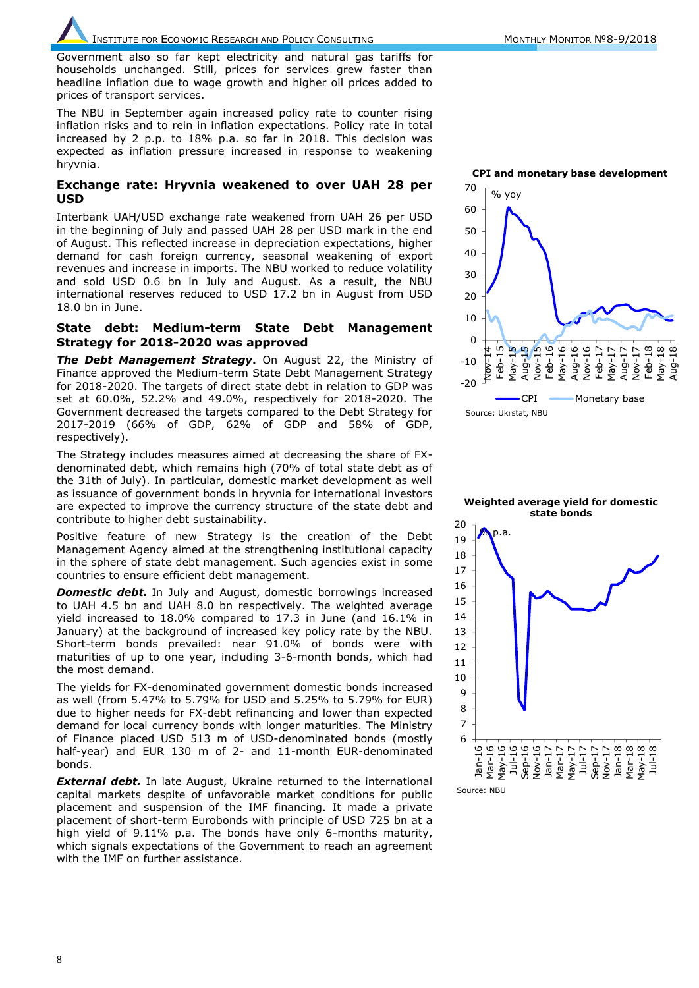Government also so far kept electricity and natural gas tariffs for households unchanged. Still, prices for services grew faster than headline inflation due to wage growth and higher oil prices added to prices of transport services.

The NBU in September again increased policy rate to counter rising inflation risks and to rein in inflation expectations. Policy rate in total increased by 2 p.p. to 18% p.a. so far in 2018. This decision was expected as inflation pressure increased in response to weakening hryvnia.

#### **Exchange rate: Hryvnia weakened to over UAH 28 per USD**

Interbank UAH/USD exchange rate weakened from UAH 26 per USD in the beginning of July and passed UAH 28 per USD mark in the end of August. This reflected increase in depreciation expectations, higher demand for cash foreign currency, seasonal weakening of export revenues and increase in imports. The NBU worked to reduce volatility and sold USD 0.6 bn in July and August. As a result, the NBU international reserves reduced to USD 17.2 bn in August from USD 18.0 bn in June.

#### **State debt: Medium-term State Debt Management Strategy for 2018-2020 was approved**

*The Debt Management Strategy***.** On August 22, the Ministry of Finance approved the Medium-term State Debt Management Strategy for 2018-2020. The targets of direct state debt in relation to GDP was set at 60.0%, 52.2% and 49.0%, respectively for 2018-2020. The Government decreased the targets compared to the Debt Strategy for 2017-2019 (66% of GDP, 62% of GDP and 58% of GDP, respectively).

The Strategy includes measures aimed at decreasing the share of FXdenominated debt, which remains high (70% of total state debt as of the 31th of July). In particular, domestic market development as well as issuance of government bonds in hryvnia for international investors are expected to improve the currency structure of the state debt and contribute to higher debt sustainability.

Positive feature of new Strategy is the creation of the Debt Management Agency aimed at the strengthening institutional capacity in the sphere of state debt management. Such agencies exist in some countries to ensure efficient debt management.

*Domestic debt.* In July and August, domestic borrowings increased to UAH 4.5 bn and UAH 8.0 bn respectively. The weighted average yield increased to 18.0% compared to 17.3 in June (and 16.1% in January) at the background of increased key policy rate by the NBU. Short-term bonds prevailed: near 91.0% of bonds were with maturities of up to one year, including 3-6-month bonds, which had the most demand.

The yields for FX-denominated government domestic bonds increased as well (from 5.47% to 5.79% for USD and 5.25% to 5.79% for EUR) due to higher needs for FX-debt refinancing and lower than expected demand for local currency bonds with longer maturities. The Ministry of Finance placed USD 513 m of USD-denominated bonds (mostly half-year) and EUR 130 m of 2- and 11-month EUR-denominated bonds.

**External debt.** In late August, Ukraine returned to the international capital markets despite of unfavorable market conditions for public placement and suspension of the IMF financing. It made a private placement of short-term Eurobonds with principle of USD 725 bn at a high yield of 9.11% p.a. The bonds have only 6-months maturity, which signals expectations of the Government to reach an agreement with the IMF on further assistance.

 $-20$ -10 0 10 20 30 40 50 60 70 NOV-14<br>Feb-15<br>May-15<br>Aug-16<br>Nov-16<br>Aug-16<br>Auv-16 Feb-17 May-17 Aug-17 **Vov-17**<br>Feb-18 Feb-18  $\overline{8}$ Aug-18 CPI - Monetary base % yoy Source: Ukrstat, NBU **CPI and monetary base development**



**Weighted average yield for domestic state bonds** 

Source: NBU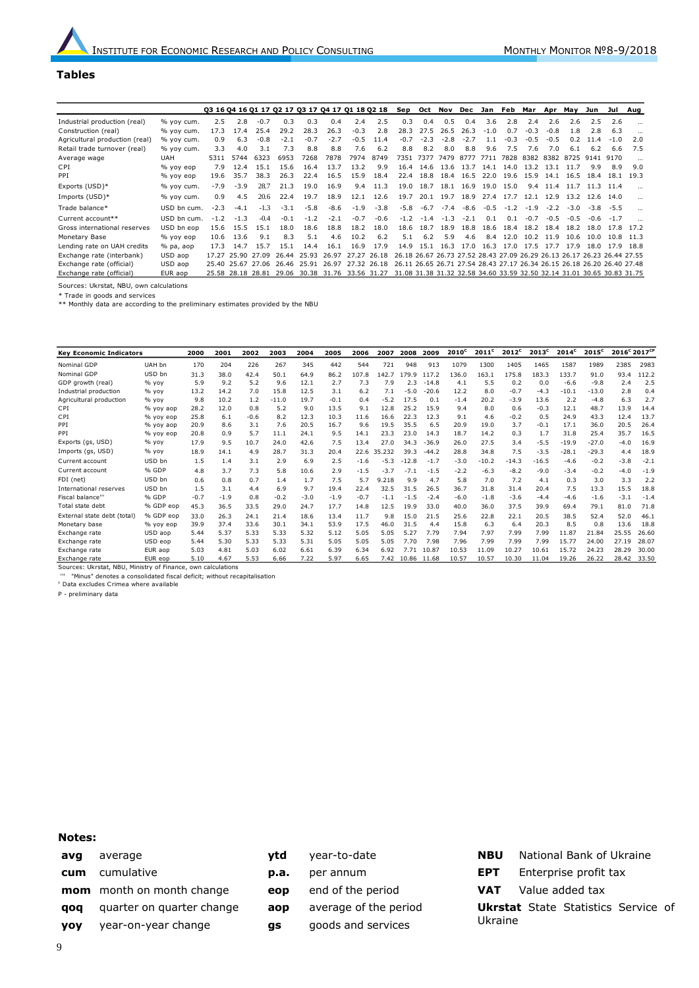#### **Tables**

|                                |             |        |             |        | Q3 16 Q4 16 Q1 17 Q2 17 Q3 17 Q4 17 Q1 18 Q2 18 |        |        |             |        | Sep    | Oct    | Nov    | Dec       | Jan    | Feb    | Mar            | Apr    | May    | Jun                                                                     | Jul    | Aug  |
|--------------------------------|-------------|--------|-------------|--------|-------------------------------------------------|--------|--------|-------------|--------|--------|--------|--------|-----------|--------|--------|----------------|--------|--------|-------------------------------------------------------------------------|--------|------|
| Industrial production (real)   | % yoy cum.  | 2.5    | 2.8         | $-0.7$ | 0.3                                             | 0.3    | 0.4    | 2.4         | 2.5    | 0.3    | 0.4    | 0.5    | 0.4       | 3.6    | 2.8    | 2.4            | 2.6    | 2.6    | 2.5                                                                     | 2.6    |      |
| Construction (real)            | % vov cum.  | 17.3   | 17.4        | 25.4   | 29.2                                            | 28.3   | 26.3   | $-0.3$      | 2.8    | 28.3   | 27.5   | 26.5   | 26.3      | $-1.0$ | 0.7    | $-0.3$         | $-0.8$ | 1.8    | 2.8                                                                     | 6.3    |      |
| Agricultural production (real) | % yoy cum.  | 0.9    | 6.3         | $-0.8$ | $-2.1$                                          | $-0.7$ | $-2.7$ | $-0.5$      | 11.4   | $-0.7$ | $-2.3$ | $-2.8$ | $-2.7$    | 1.1    | $-0.3$ | $-0.5$         | $-0.5$ | 0.2    | 11.4                                                                    | $-1.0$ | 2.0  |
| Retail trade turnover (real)   | % yoy cum.  | 3.3    | 4.0         | 3.1    | 7.3                                             | 8.8    | 8.8    | 7.6         | 6.2    | 8.8    | 8.2    | 8.0    | 8.8       | 9.6    | 7.5    | 7.6            | 7.0    | 6.1    | 6.2                                                                     | 6.6    | 7.5  |
| Average wage                   | <b>UAH</b>  | 5311   | 5744        | 6323   | 6953                                            | 7268   | 7878   | 7974        | 8749   | 7351   | 7377   |        | 7479 8777 | 7711   |        | 7828 8382 8382 |        |        | 8725 9141 9170                                                          |        |      |
| CPI                            | % yoy eop   | 7.9    | 12.4        | 15.1   | 15.6                                            | 16.4   | 13.7   | 13.2        | 9.9    | 16.4   | 14.6   | 13.6   | 13.7      | 14.1   | 14.0   | 13.2           | 13.1   | 11.7   | 9.9                                                                     | 8.9    | 9.0  |
| PPI                            | % yoy eop   | 19.6   | 35.7        | 38.3   | 26.3                                            | 22.4   | 16.5   | 15.9        | 18.4   | 22.4   | 18.8   | 18.4   | 16.5      | 22.0   | 19.6   | 15.9           | 14.1   | 16.5   | 18.4                                                                    | 18.1   | 19.3 |
| Exports (USD)*                 | % yoy cum.  | $-7.9$ | $-3.9$      | 28.7   | 21.3                                            | 19.0   | 16.9   | 9.4         | 11.3   | 19.0   | 18.7   | 18.1   | 16.9      | 19.0   | 15.0   | 9.4            | 11.4   | 11.7   | 11.3 11.4                                                               |        |      |
| Imports (USD)*                 | % yoy cum.  | 0.9    | 4.5         | 20.6   | 22.4                                            | 19.7   | 18.9   | 12.1        | 12.6   | 19.7   | 20.1   | 19.7   | 18.9      | 27.4   | 17.7   | 12.1           | 12.9   | 13.2   | 12.6 14.0                                                               |        |      |
| Trade balance*                 | USD bn cum. | $-2.3$ | $-4.1$      | $-1.3$ | $-3.1$                                          | $-5.8$ | $-8.6$ | $-1.9$      | $-3.8$ | $-5.8$ | $-6.7$ | $-7.4$ | -8.6      | $-0.5$ | $-1.2$ | $-1.9$         | $-2.2$ | $-3.0$ | $-3.8$                                                                  | $-5.5$ |      |
| Current account**              | USD bn cum. | $-1.2$ | $-1.3$      | $-0.4$ | $-0.1$                                          | $-1.2$ | $-2.1$ | $-0.7$      | $-0.6$ | $-1.2$ | $-1.4$ | $-1.3$ | $-2.1$    | 0.1    | 0.1    | $-0.7$         | $-0.5$ | $-0.5$ | $-0.6$                                                                  | $-1.7$ |      |
| Gross international reserves   | USD bn eop  | 15.6   | 15.5        | 15.1   | 18.0                                            | 18.6   | 18.8   | 18.2        | 18.0   | 18.6   | 18.7   | 18.9   | 18.8      | 18.6   | 18.4   | 18.2           | 18.4   | 18.2   | 18.0                                                                    | 17.8   | 17.2 |
| Monetary Base                  | % yoy eop   | 10.6   | 13.6        | 9.1    | 8.3                                             | 5.1    | 4.6    | 10.2        | 6.2    | 5.1    | 6.2    | 5.9    | 4.6       | 8.4    | 12.0   | 10.2           | 11.9   | 10.6   | 10.0                                                                    | 10.8   | 11.3 |
| Lending rate on UAH credits    | % pa, aop   | 17.3   | 14.7        | 15.7   | 15.1                                            | 14.4   | 16.1   | 16.9        | 17.9   | 14.9   | 15.1   | 16.3   | 17.0      | 16.3   | 17.0   | 17.5           | 17.7   | 17.9   | 18.0                                                                    | 17.9   | 18.8 |
| Exchange rate (interbank)      | USD aop     | 17.27  | 25.90       | 27.09  | 26.44                                           | 25.93  | 26.97  | 27.27       | 26.18  |        |        |        |           |        |        |                |        |        | 26.18.26.67.26.73.27.52.28.43.27.09.26.29.26.13.26.17.26.23.26.44.27.55 |        |      |
| Exchange rate (official)       | USD aop     |        | 25.40 25.67 | 27.06  | 26.46                                           | 25.91  | 26.97  | 27.32 26.18 |        |        |        |        |           |        |        |                |        |        | 26.11 26.65 26.71 27.54 28.43 27.17 26.34 26.15 26.18 26.20 26.40 27.48 |        |      |
| Exchange rate (official)       | EUR aop     | 25.58  | 28.18       | 28.81  | 29.06                                           | 30.38  | 31.76  | 33.56 31.27 |        |        |        |        |           |        |        |                |        |        | 31.08 31.38 31.32 32.58 34.60 33.59 32.50 32.14 31.01 30.65 30.83 31.75 |        |      |

Sources: Ukrstat, NBU, own calculations

\* Trade in goods and services \*\* Monthly data are according to the preliminary estimates provided by the NBU

| <b>Key Economic Indicators</b>                               |           | 2000   | 2001   | 2002   | 2003    | 2004   | 2005   | 2006   | 2007   | 2008    | 2009    | $2010^c$ | $2011^c$ | $2012^c$ | $2013^c$ | $2014^c$ | $2015^{\circ}$ | 2016 <sup>c</sup> 2017 <sup>cp</sup> |        |
|--------------------------------------------------------------|-----------|--------|--------|--------|---------|--------|--------|--------|--------|---------|---------|----------|----------|----------|----------|----------|----------------|--------------------------------------|--------|
| Nominal GDP                                                  | UAH bn    | 170    | 204    | 226    | 267     | 345    | 442    | 544    | 721    | 948     | 913     | 1079     | 1300     | 1405     | 1465     | 1587     | 1989           | 2385                                 | 2983   |
| Nominal GDP                                                  | USD bn    | 31.3   | 38.0   | 42.4   | 50.1    | 64.9   | 86.2   | 107.8  | 142.7  | 179.9   | 117.2   | 136.0    | 163.1    | 175.8    | 183.3    | 133.7    | 91.0           | 93.4                                 | 112.2  |
| GDP growth (real)                                            | $%$ yoy   | 5.9    | 9.2    | 5.2    | 9.6     | 12.1   | 2.7    | 7.3    | 7.9    | 2.3     | $-14.8$ | 4.1      | 5.5      | 0.2      | 0.0      | $-6.6$   | $-9.8$         | 2.4                                  | 2.5    |
| Industrial production                                        | $%$ yoy   | 13.2   | 14.2   | 7.0    | 15.8    | 12.5   | 3.1    | 6.2    | 7.1    | $-5.0$  | $-20.6$ | 12.2     | 8.0      | $-0.7$   | $-4.3$   | $-10.1$  | $-13.0$        | 2.8                                  | 0.4    |
| Agricultural production                                      | $%$ vov   | 9.8    | 10.2   | 1.2    | $-11.0$ | 19.7   | $-0.1$ | 0.4    | $-5.2$ | 17.5    | 0.1     | $-1.4$   | 20.2     | $-3.9$   | 13.6     | 2.2      | $-4.8$         | 6.3                                  | 2.7    |
| CPI                                                          | % vov aop | 28.2   | 12.0   | 0.8    | 5.2     | 9.0    | 13.5   | 9.1    | 12.8   | 25.2    | 15.9    | 9.4      | 8.0      | 0.6      | $-0.3$   | 12.1     | 48.7           | 13.9                                 | 14.4   |
| CPI                                                          | % yoy eop | 25.8   | 6.1    | $-0.6$ | 8.2     | 12.3   | 10.3   | 11.6   | 16.6   | 22.3    | 12.3    | 9.1      | 4.6      | $-0.2$   | 0.5      | 24.9     | 43.3           | 12.4                                 | 13.7   |
| PPI                                                          | % yoy aop | 20.9   | 8.6    | 3.1    | 7.6     | 20.5   | 16.7   | 9.6    | 19.5   | 35.5    | 6.5     | 20.9     | 19.0     | 3.7      | $-0.1$   | 17.1     | 36.0           | 20.5                                 | 26.4   |
| PPI                                                          | % vov eop | 20.8   | 0.9    | 5.7    | 11.1    | 24.1   | 9.5    | 14.1   | 23.3   | 23.0    | 14.3    | 18.7     | 14.2     | 0.3      | 1.7      | 31.8     | 25.4           | 35.7                                 | 16.5   |
| Exports (gs, USD)                                            | $%$ yoy   | 17.9   | 9.5    | 10.7   | 24.0    | 42.6   | 7.5    | 13.4   | 27.0   | 34.3    | $-36.9$ | 26.0     | 27.5     | 3.4      | $-5.5$   | $-19.9$  | $-27.0$        | $-4.0$                               | 16.9   |
| Imports (gs, USD)                                            | $%$ yoy   | 18.9   | 14.1   | 4.9    | 28.7    | 31.3   | 20.4   | 22.6   | 35.232 | 39.3    | $-44.2$ | 28.8     | 34.8     | 7.5      | $-3.5$   | $-28.1$  | $-29.3$        | 4.4                                  | 18.9   |
| Current account                                              | USD bn    | 1.5    | 1.4    | 3.1    | 2.9     | 6.9    | 2.5    | $-1.6$ | $-5.3$ | $-12.8$ | $-1.7$  | $-3.0$   | $-10.2$  | $-14.3$  | $-16.5$  | $-4.6$   | $-0.2$         | $-3.8$                               | $-2.1$ |
| Current account                                              | % GDP     | 4.8    | 3.7    | 7.3    | 5.8     | 10.6   | 2.9    | $-1.5$ | $-3.7$ | $-7.1$  | $-1.5$  | $-2.2$   | $-6.3$   | $-8.2$   | $-9.0$   | $-3.4$   | $-0.2$         | $-4.0$                               | $-1.9$ |
| FDI (net)                                                    | USD bn    | 0.6    | 0.8    | 0.7    | 1.4     | 1.7    | 7.5    | 5.7    | 9.218  | 9.9     | 4.7     | 5.8      | 7.0      | 7.2      | 4.1      | 0.3      | 3.0            | 3.3                                  | 2.2    |
| <b>International reserves</b>                                | USD bn    | 1.5    | 3.1    | 4.4    | 6.9     | 9.7    | 19.4   | 22.4   | 32.5   | 31.5    | 26.5    | 36.7     | 31.8     | 31.4     | 20.4     | 7.5      | 13.3           | 15.5                                 | 18.8   |
| Fiscal balance"                                              | % GDP     | $-0.7$ | $-1.9$ | 0.8    | $-0.2$  | $-3.0$ | $-1.9$ | $-0.7$ | $-1.1$ | $-1.5$  | $-2.4$  | $-6.0$   | $-1.8$   | $-3.6$   | $-4.4$   | $-4.6$   | $-1.6$         | $-3.1$                               | $-1.4$ |
| Total state debt                                             | % GDP eop | 45.3   | 36.5   | 33.5   | 29.0    | 24.7   | 17.7   | 14.8   | 12.5   | 19.9    | 33.0    | 40.0     | 36.0     | 37.5     | 39.9     | 69.4     | 79.1           | 81.0                                 | 71.8   |
| External state debt (total)                                  | % GDP eop | 33.0   | 26.3   | 24.1   | 21.4    | 18.6   | 13.4   | 11.7   | 9.8    | 15.0    | 21.5    | 25.6     | 22.8     | 22.1     | 20.5     | 38.5     | 52.4           | 52.0                                 | 46.1   |
| Monetary base                                                | % yoy eop | 39.9   | 37.4   | 33.6   | 30.1    | 34.1   | 53.9   | 17.5   | 46.0   | 31.5    | 4.4     | 15.8     | 6.3      | 6.4      | 20.3     | 8.5      | 0.8            | 13.6                                 | 18.8   |
| Exchange rate                                                | USD aop   | 5.44   | 5.37   | 5.33   | 5.33    | 5.32   | 5.12   | 5.05   | 5.05   | 5.27    | 7.79    | 7.94     | 7.97     | 7.99     | 7.99     | 11.87    | 21.84          | 25.55                                | 26.60  |
| Exchange rate                                                | USD eop   | 5.44   | 5.30   | 5.33   | 5.33    | 5.31   | 5.05   | 5.05   | 5.05   | 7.70    | 7.98    | 7.96     | 7.99     | 7.99     | 7.99     | 15.77    | 24.00          | 27.19                                | 28.07  |
| Exchange rate                                                | EUR aop   | 5.03   | 4.81   | 5.03   | 6.02    | 6.61   | 6.39   | 6.34   | 6.92   | 7.71    | 10.87   | 10.53    | 11.09    | 10.27    | 10.61    | 15.72    | 24.23          | 28.29                                | 30.00  |
| Exchange rate                                                | EUR eop   | 5.10   | 4.67   | 5.53   | 6.66    | 7.22   | 5.97   | 6.65   | 7.42   | 10.86   | 11.68   | 10.57    | 10.57    | 10.30    | 11.04    | 19.26    | 26.22          | 28.42                                | 33.50  |
| Sources: Ukrstat, NBU, Ministry of Finance, own calculations |           |        |        |        |         |        |        |        |        |         |         |          |          |          |          |          |                |                                      |        |

Sources: Ukrstat, NBU, Ministry of Finance, own calculations ''' "Minus" denotes a consolidated fiscal deficit; without recapitalisation

<sup>c</sup> Data excludes Crimea where available

P - preliminary data

#### **Notes:**

- **avg** average **cum** cumulative **mom** month on month change **qoq** quarter on quarter change **yoy** year-on-year change
- **ytd** year-to-date **p.a.** per annum **eop** end of the period
	- **aop** average of the period
		-
	- **gs** goods and services
- **NBU** National Bank of Ukraine **EPT** Enterprise profit tax **VAT** Value added tax **Ukrstat** State Statistics Service of Ukraine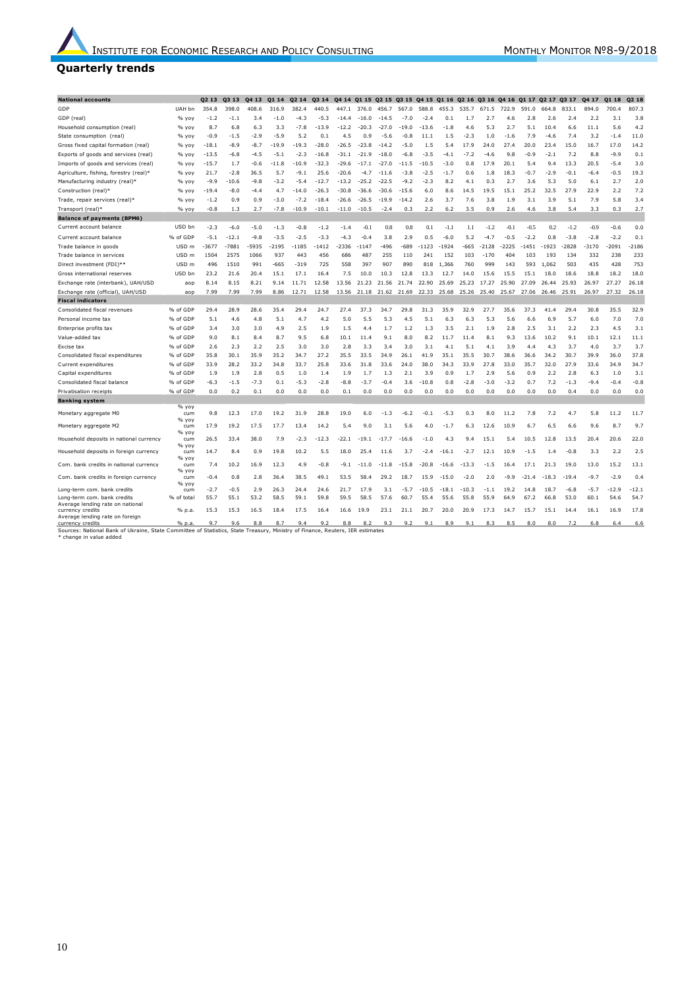#### **Quarterly trends**

| <b>National accounts</b>                                                |                       | Q <sub>2</sub> 13 | Q3 13       | 04 13       | Q1 14       | Q2 14       | Q3 14       |             |             |             |             |             | Q4 14 Q1 15 Q2 15 Q3 15 Q4 15 Q1 16 Q2 16 Q3 16 Q4 16 Q1 17 |             |             |             |             | Q2 17       | 03 17       | 04 17       | Q1 18       | 02 18       |
|-------------------------------------------------------------------------|-----------------------|-------------------|-------------|-------------|-------------|-------------|-------------|-------------|-------------|-------------|-------------|-------------|-------------------------------------------------------------|-------------|-------------|-------------|-------------|-------------|-------------|-------------|-------------|-------------|
| GDP                                                                     | UAH bn                | 354.8             | 398.0       | 408.6       | 316.9       | 382.4       | 440.5       | 447.1       | 376.0       | 456.7       | 567.0       | 588.8       | 455.3                                                       | 535.7       | 671<br>.5   | 722 G       | 591.0       | 664<br>8.   | 833.1       | 894.0       | 700.4       | 807.3       |
| GDP (real)                                                              | % yoy                 | $-1.2$            | $-1.1$      | 3.4         | -1.0        | $-4.3$      | $-5.3$      | $-14.4$     | $-16.0$     | $-14.5$     | $-7.0$      | $-2.4$      | 0.1                                                         | 1.7         | 2.7         | 4.6         | 2.8         | 2.6         | 2.4         | 2.2         | 3.1         | 3.8         |
| Household consumption (real)                                            | % vov                 | 8.7               | 6.8         | 6.3         | 3.3         | $-7.8$      | $-13.9$     | $-12.2$     | $-20.3$     | $-27.0$     | $-19.0$     | $-13.6$     | $-1.8$                                                      | 4.6         | 5.3         | 2.7         | 5.1         | 10.4        | 6.6         | 11.1        | 5.6         | 4.2         |
| State consumption (real                                                 | % yoy                 | $-0.9$            | $-1.5$      | $-2.9$      | $-5.9$      | 5.2         | 0.1         | 4.5         | 0.9         | $-5.6$      | $-0.8$      | 11.1        | 1.5                                                         | $-2.3$      | 1.0         | $-1.6$      | 7.9         | $-4.6$      | 7.4         | 3.2         | $-1.4$      | 11.0        |
| Gross fixed capital formation (real)                                    | % уоу                 | $-18.1$           | $-8.9$      | $-8.7$      | $-19.9$     | $-19.3$     | $-28.0$     | $-26.5$     | $-23.8$     | $-14.2$     | $-5.0$      | 1.5         | 5.4                                                         | 17.9        | 24.0        | 27.4        | 20.0        | 23.4        | 15.0        | 16.7        | 17.0        | 14.2        |
| Exports of goods and services (real)                                    | % уоу                 | $-13.5$           | $-6.8$      | $-4.5$      | $-5.1$      | $-2.3$      | $-16.8$     | $-31.1$     | $-21.9$     | $-18.0$     | $-6.8$      | $-3.5$      | $-4.1$                                                      | $-7.2$      | $-4.6$      | 9.8         | $-0.9$      | $-2.1$      | 7.2         | 8.8         | $-9.9$      | 0.1         |
| Imports of goods and services (real)                                    | % yoy                 | $-15.7$           | 1.7         | $-0.6$      | $-11.8$     | $-10.9$     | $-32.3$     | $-29.6$     | $-17.1$     | $-27.0$     | -11.5       | $-10.5$     | -3.0                                                        | 0.8         | 17.9        | 20.1        | 5.4         | 9.4         | 13.3        | 20.5        | $-5.4$      | 3.0         |
| Agriculture, fishing, forestry (real)*                                  | % yoy                 | 21.7              | $-2.8$      | 36.5        | 5.7         | $-9.1$      | 25.6        | $-20.6$     | $-4.7$      | $-11.6$     | $-3.8$      | $-2.5$      | $-1.7$                                                      | 0.6         | 1.8         | 18.3        | $-0.7$      | $-2.9$      | $-0.1$      | $-6.4$      | $-0.5$      | 19.3        |
| Manufacturing industry (real)*                                          | % yoy                 | $-9.9$            | $-10.6$     | $-9.8$      | $-3.2$      | $-5.4$      | $-12.7$     | $-13.2$     | $-25.2$     | $-22.5$     | $-9.2$      | $-2.3$      | 8.2                                                         | 4.1         | 0.3         | 2.7         | 3.6         | 5.3         | 5.0         | 6.1         | 2.7         | 2.0         |
| Construction (real)*                                                    | % yoy                 | $-19.4$           | $-8.0$      | $-4.4$      | 4.7         | $-14.0$     | $-26.3$     | $-30.8$     | $-36.6$     | $-30.6$     | $-15.6$     | 6.0         | 8.6                                                         | 14.5        | 19.5        | 15.1        | 25.2        | 32.5        | 27.9        | 22.9        | 2.2         | 7.2         |
| Trade, repair services (real)*                                          | % yoy                 | $-1.2$            | 0.9         | 0.9         | -3.0        | $-7.2$      | $-18.4$     | $-26.6$     | $-26.5$     | $-19.9$     | $-14.2$     | 2.6         | 3.7                                                         | 7.6         | 3.8         | 1.9         | 3.1         | 3.9         | 5.1         | 7.9         | 5.8         | 3.4         |
| Transport (real)*                                                       | % yoy                 | $-0.8$            | 1.3         | 2.7         | $-7.8$      | $-10.9$     | $-10.1$     | $-11.0$     | $-10.5$     | $-2.4$      | 0.3         | 2.2         | 6.2                                                         | 3.5         | 0.9         | 2.6         | 4.6         | 3.8         | 5.4         | 3.3         | 0.3         | 2.7         |
| <b>Balance of payments (BPM6)</b>                                       |                       |                   |             |             |             |             |             |             |             |             |             |             |                                                             |             |             |             |             |             |             |             |             |             |
| Current account balance                                                 | USD bn                | $-2.3$            | $-6.0$      | $-5.0$      | $-1.3$      | $-0.8$      | $-1.2$      | $-1.4$      | $-0.1$      | 0.8         | 0.8         | 0.1         | $-1.1$                                                      | 1.1         | $-1.2$      | $-0.1$      | $-0.5$      | 0.2         | $-1.2$      | $-0.9$      | $-0.6$      | 0.0         |
| Current account balance                                                 | % of GDP              | $-5.1$            | $-12.1$     | $-9.8$      | $-3.5$      | $-2.5$      | $-3.3$      | $-4.3$      | $-0.4$      | 3.8         | 2.9         | 0.5         | $-6.0$                                                      | 5.2         | $-4.7$      | $-0.5$      | $-2.2$      | 0.8         | $-3.8$      | $-2.8$      | $-2.2$      | 0.1         |
| Trade balance in goods                                                  | USD <sub>m</sub>      | $-3677$           | $-7881$     | 5935        | $-2195$     | $-1185$     | $-1412$     | 2336        | $-1147$     | -496        | -689        | $-1123$     | $-1924$                                                     | $-665$      | $-2128$     | 2225        | -1451       | $-1923$     | 2828        | $-3170$     | $-2091$     | $-2186$     |
| Trade balance in services                                               | USD <sub>m</sub>      | 1504              | 2575        | 1066        | 937         | 443         | 456         | 686         | 487         | 255         | 110         | 241         | 152                                                         | 103         | $-170$      | 404         | 103         | 193         | 134         | 332         | 238         | 233         |
| Direct investment (FDI)**                                               | USD <sub>m</sub>      | 496               | 1510        | 991         | $-665$      | $-319$      | 725         | 558         | 397         | 907         | 890         | 818         | 1,366                                                       | 760         | 999         | 143         | 593         | 1,062       | 503         | 435         | 428         | 753         |
| Gross international reserves                                            | USD bn                | 23.2              | 21.6        | 20.4        | 15.1        | 17.1        | 16.4        | 7.5         | 10.0        | 10.3        | 12.8        | 13.3        | 12.7                                                        | 14.0        | 15.6        | 15.5        | 15.1        | 18.0        | 18.6        | 18.8        | 18.2        | 18.0        |
| Exchange rate (interbank), UAH/USD                                      | aop                   | 8.14              | 8.15        | 8.21        | 9.14        | 11.71       | 12.58       | 13.56       | 21.23       | 21.56       | 21.74       | 22.90       | 25.69                                                       | 25.23       | 17.27       | 25.90       | 27.09       | 26.44       | 25.93       | 26.97       | 27.27       | 26.18       |
| Exchange rate (official), UAH/USD                                       | aop                   | 7.99              | 7.99        | 7.99        | 8.86        | 12.71       | 12.58       | 13.56       | 21.18       | 21.62       | 21.69       | 22.33       | 25.68                                                       | 25.26       | 25.40       | 25.67       | 27.06       | 26.46       | 25.91       | 26.97       | 27.32       | 26.18       |
| <b>Fiscal indicators</b>                                                |                       |                   |             |             |             |             |             |             |             |             |             |             |                                                             |             |             |             |             |             |             |             |             |             |
| Consolidated fiscal revenues                                            | % of GDP              | 29.4              | 28.9        | 28.6        | 35.4        | 29.4        | 24.7        | 27.4        | 37.3        | 34.7        | 29.8        | 31.3        | 35.9                                                        | 32.9        | 27.7        | 35.6        | 37.3        | 41.4        | 29.4        | 30.8        | 35.5        | 32.9        |
| Personal income tax                                                     | % of GDP              | 5.1               | 4.6         | 4.8         | 5.1         | 4.7         | 4.2         | 5.0         | 5.5         | 5.3         | 4.5         | 5.1         | 6.3                                                         | 6.3         | 5.3         | 5.6         | 6.6         | 6.9         | 5.7         | 6.0         | 7.0         | 7.0         |
| Enterprise profits tax                                                  | % of GDP              | 3.4               | 3.0         | 3.0         | 4.9         | 2.5         | 1.9         | 1.5         | 4.4         | 1.7         | 1.2         | 1.3         | 3.5                                                         | 2.1         | 1.9         | 2.8         | 2.5         | 3.1         | 2.2         | 2.3         | 4.5         | 3.1         |
| Value-added tax                                                         | % of GDP              | 9.0               | 8.1         | 8.4         | 8.7         | 9.5         | 6.8         | 10.1        | 11.4        | 9.1         | 8.0         | 8.2         | 11.7                                                        | 11.4        | 8.1         | 9.3         | 13.6        | 10.2        | 9.1         | 10.1        | 12.1        | 11.1        |
| Excise tax                                                              | % of GDP              | 2.6               | 2.3         | 2.2         | 2.5         | 3.0         | 3.0         | 2.8         | 3.3         | 3.4         | 3.0         | 3.1         | 4.1                                                         | 5.1         | 4.1         | 3.9         | 4.4         | 4.3         | 3.7         | 4.0         | 3.7         | 3.7         |
| Consolidated fiscal expenditures                                        | % of GDP              | 35.8              | 30.1        | 35.9        | 35.2        | 34.7        | 27.2        | 35.5        | 33.5        | 34.9        | 26.1        | 41.9        | 35.1                                                        | 35.5        | 30.7        | 38.6        | 36.6        | 34.2        | 30.7        | 39.9        | 36.0        | 37.8        |
| Current expenditures                                                    | % of GDP              | 33.9              | 28.2        | 33.2        | 34.8        | 33.7        | 25.8        | 33.6        | 31.8        | 33.6        | 24.0        | 38.0        | 34.3                                                        | 33.9        | 27.8        | 33.0        | 35.7        | 32.0        | 27.9        | 33.6        | 34.9        | 34.7        |
| Capital expenditures                                                    | % of GDP              | 1.9               | 1.9         | 2.8         | 0.5         | 1.0         | 1.4         | 1.9         | 1.7         | 1.3         | 2.1         | 3.9         | 0.9                                                         | 1.7         | 2.9         | 5.6         | 0.9         | 2.2         | 2.8         | 6.3         | 1.0         | 3.1         |
| Consolidated fiscal balance                                             | % of GDP              | $-6.3$            | $-1.5$      | $-7.3$      | 0.1         | $-5.3$      | $-2.8$      | $-8.8$      | $-3.7$      | $-0.4$      | 3.6         | $-10.8$     | 0.8                                                         | $-2.8$      | $-3.0$      | $-3.2$      | 0.7         | 7.2         | $-1.3$      | $-9.4$      | $-0.4$      | $-0.8$      |
| Privatisation receipts                                                  | % of GDP              | 0.0               | 0.2         | 0.1         | 0.0         | 0.0         | 0.0         | 0.1         | 0.0         | 0.0         | 0.0         | 0.0         | 0.0                                                         | 0.0         | 0.0         | 0.0         | 0.0         | 0.0         | 0.4         | 0.0         | 0.0         | 0.0         |
| <b>Banking system</b>                                                   |                       |                   |             |             |             |             |             |             |             |             |             |             |                                                             |             |             |             |             |             |             |             |             |             |
| Monetary aggregate M0                                                   | % yoy<br>cum          | 9.8               | 12.3        | 17.0        | 19.2        | 31.9        | 28.8        | 19.0        | 6.0         | $-1.3$      | $-6.2$      | $-0.1$      | -5.3                                                        | 0.3         | 8.0         | 11.2        | 7.8         | 7.2         | 4.7         | 5.8         | 11.2        | 11.7        |
| Monetary aggregate M2                                                   | % yoy<br>cum<br>% yoy | 17.9              | 19.2        | 17.5        | 17.7        | 13.4        | 14.2        | 5.4         | 9.0         | 3.1         | 5.6         | 4.0         | $-1.7$                                                      | 6.3         | 12.6        | 10.9        | 6.7         | 6.5         | 6.6         | 9.6         | 8.7         | 9.7         |
| Household deposits in national currency                                 | cum<br>% yoy          | 26.5              | 33.4        | 38.0        | 7.9         | $-2.3$      | $-12.3$     | $-22.1$     | $-19.1$     | $-17.7$     | $-16.6$     | $-1.0$      | 4.3                                                         | 9.4         | 15.1        | 5.4         | 10.5        | 12.8        | 13.5        | 20.4        | 20.6        | 22.0        |
| Household deposits in foreign currency                                  | cum                   | 14.7              | 8.4         | 0.9         | 19.8        | 10.2        | 5.5         | 18.0        | 25.4        | 11.6        | 3.7         | $-2.4$      | $-16.1$                                                     | $-2.7$      | 12.1        | 10.9        | $-1.5$      | 1.4         | $-0.8$      | 3.3         | 2.2         | 2.5         |
| Com. bank credits in national currency                                  | % yoy<br>cum<br>% yoy | 7.4               | 10.2        | 16.9        | 12.3        | 4.9         | $-0.8$      | $-9.1$      | $-11.0$     | $-11.8$     | $-15.8$     | $-20.8$     | $-16.6$                                                     | $-13.3$     | $-1.5$      | 16.4        | 17.1        | 21.3        | 19.0        | 13.0        | 15.2        | 13.1        |
| Com. bank credits in foreign currency                                   | cum<br>% yoy          | $-0.4$            | 0.8         | 2.8         | 36.4        | 38.5        | 49.1        | 53.5        | 58.4        | 29.2        | 18.7        | 15.9        | $-15.0$                                                     | $-2.0$      | 2.0         | -9.9        | $-21.4$     | $-18.3$     | $-19.4$     | $-9.7$      | $-2.9$      | 0.4         |
| Long-term com. bank credits                                             | cum                   | $-2.7$            | $-0.5$      | 2.9         | 26.3        | 24.4        | 24.6        | 21.7        | 17.9        | 3.1         | -5.7        | -10.5       | $-18.1$                                                     | $-10.3$     | $-1.1$      | 19.2        | 14.8        | 18.7        | $-6.8$      | $-5.7$      | $-12.9$     | $-12.1$     |
| Long-term com. bank credits<br>Average lending rate on national         | % of total            | 55.7              | 55.1        | 53.2        | 58.5        | 59.1        | 59.8        | 59.5        | 58.5        | 57.6        | 60.7        | 55.4        | 55.6                                                        | 55.8        | 55.9        | 64.9        | 67.2        | 66.8        | 53.0        | 60.1        | 54.6        | 54.7        |
| currency credits<br>Average lending rate on foreign<br>currency credits | % n.a<br>%p.a         | 15.3<br>9.7       | 15.3<br>9.6 | 16.5<br>8.8 | 18.4<br>8.7 | 17.5<br>9.4 | 16.4<br>9.2 | 16.6<br>8.8 | 19.9<br>8.2 | 23.1<br>9.3 | 21.1<br>9.2 | 20.7<br>9.1 | 20.0<br>8.9                                                 | 20.9<br>9.1 | 17.3<br>8.3 | 14.7<br>8.5 | 15.7<br>8.0 | 15.1<br>8.0 | 14.4<br>7.2 | 16.1<br>6.8 | 16.9<br>6.4 | 17.8<br>6.6 |
|                                                                         |                       |                   |             |             |             |             |             |             |             |             |             |             |                                                             |             |             |             |             |             |             |             |             |             |

Sources: National Bank of Ukraine, State Committee of Statistics, State Treasury, Ministry of Finance, Reuters, IER estimates \* change in value added